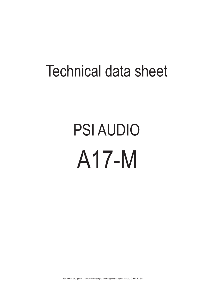## Technical data sheet

# PSI AUDIO A17-M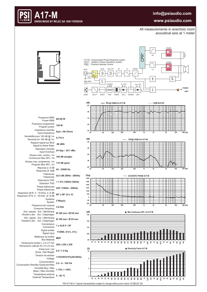#### **info@psiaudio.com**



#### **www.psiaudio.com**

All measurements in anechoic room acoustical axis at 1 meter